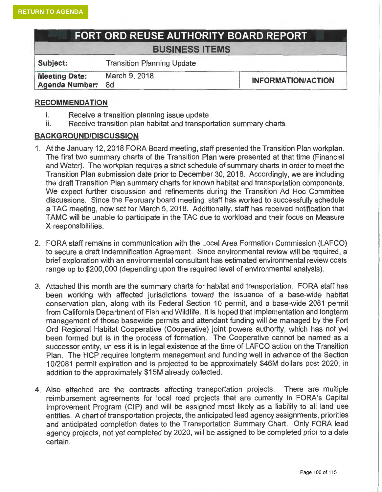| <b>FORT ORD REUSE AUTHORITY BOARD REPORT!</b> |
|-----------------------------------------------|
| DHQINEQQ FEEMQ                                |

**BUSINESS ITEMS** 

**Subject:** Transition Planning Update

**Meeting Date:** March 9, 2018<br>**Agenda Number:** 8d

**Agency 2010**<br> **Address CONSERVANTION/ACTION** 

# **RECOMMENDATION**

- i. Receive a transition planning issue update
- ii. Receive transition plan habitat and transportation summary charts

# **BACKGROUND/DISCUSSION**

- 1. At the January 12, 2018 FORA Board meeting, staff presented the Transition Plan workplan. The first two summary charts of the Transition Plan were presented at that time (Financial and Water). The workplan requires a strict schedule of summary charts in order to meet the Transition Plan submission date prior to December 30, 2018. Accordingly, we are including the draft Transition Plan summary charts for known habitat and transportation components. We expect further discussion and refinements during the Transition Ad Hoc Committee discussions. Since the February board meeting, staff has worked to successfully schedule a TAC meeting, now set for March 5, 2018. Additionally, staff has received notification that TAMC will be unable to participate in the TAC due to workload and their focus on Measure X responsibilities.
- 2. FORA staff remains in communication with the Local Area Formation Commission (LAFCO) to secure a draft Indemnification Agreement. Since environmental review will be required, a brief exploration with an environmental consultant has estimated environmental review costs range up to \$200,000 (depending upon the required level of environmental analysis).
- 3. Attached this month are the summary charts for habitat and transportation. FORA staff has been working with affected jurisdictions toward the issuance of a base-wide habitat conservation plan, along with its Federal Section 10 permit, and a base-wide 2081 permit from California Department of Fish and Wildlife. It is hoped that implementation and longterm management of those basewide permits and attendant funding will be managed by the Fort Ord Regional Habitat Cooperative (Cooperative) joint powers authority, which has not yet been formed but is in the process of formation. The Cooperative cannot be named as a successor entity, unless it is in legal existence at the time of LAFCO action on the Transition Plan. The HCP requires longterm management and funding well in advance of the Section 10/2081 permit expiration and is projected to be approximately \$46M dollars post 2020, in addition to the approximately \$15M already collected.
- 4. Also attached are the contracts affecting transportation projects. There are multiple reimbursement agreements for local road projects that are currently in FORA's Capital Improvement Program (CIP) and will be assigned most likely as a liability to all land use entities. A chart of transportation projects, the anticipated lead agency assignments, priorities and anticipated completion dates to the Transportation Summary Chart. Only FORA lead agency projects, not yet completed by 2020, will be assigned to be completed prior to a date certain.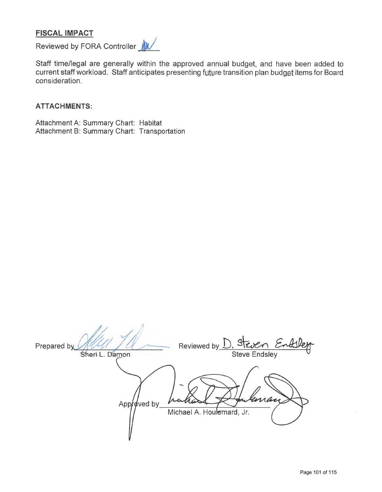# **FISCAL IMPACT**

Reviewed by FORA Controller **MW** 

Staff time/legal are generally within the approved annual budget, and have been added to current staff workload. Staff anticipates presenting future transition plan budget items for Board consideration.

# **ATTACHMENTS:**

Attachment A: Summary Chart: Habitat Attachment B: Summary Chart: Transportation

| Prepared by<br>Sheri L.<br>Damon | Reviewed by D. Steven Endsley<br><b>Steve Endsley</b>                |
|----------------------------------|----------------------------------------------------------------------|
| Approved by                      | $\overline{\phantom{a}}$<br>$\sqrt{a}u$<br>Michael A. Houlemard, Jr. |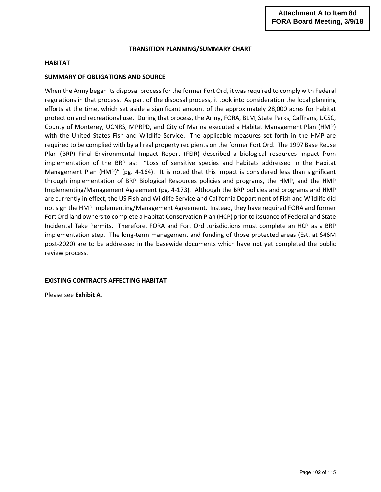## **TRANSITION PLANNING/SUMMARY CHART**

# **HABITAT**

# **SUMMARY OF OBLIGATIONS AND SOURCE**

When the Army began its disposal process for the former Fort Ord, it was required to comply with Federal regulations in that process. As part of the disposal process, it took into consideration the local planning efforts at the time, which set aside a significant amount of the approximately 28,000 acres for habitat protection and recreational use. During that process, the Army, FORA, BLM, State Parks, CalTrans, UCSC, County of Monterey, UCNRS, MPRPD, and City of Marina executed a Habitat Management Plan (HMP) with the United States Fish and Wildlife Service. The applicable measures set forth in the HMP are required to be complied with by all real property recipients on the former Fort Ord. The 1997 Base Reuse Plan (BRP) Final Environmental Impact Report (FEIR) described a biological resources impact from implementation of the BRP as: "Loss of sensitive species and habitats addressed in the Habitat Management Plan (HMP)" (pg. 4-164). It is noted that this impact is considered less than significant through implementation of BRP Biological Resources policies and programs, the HMP, and the HMP Implementing/Management Agreement (pg. 4-173). Although the BRP policies and programs and HMP are currently in effect, the US Fish and Wildlife Service and California Department of Fish and Wildlife did not sign the HMP Implementing/Management Agreement. Instead, they have required FORA and former Fort Ord land owners to complete a Habitat Conservation Plan (HCP) prior to issuance of Federal and State Incidental Take Permits. Therefore, FORA and Fort Ord Jurisdictions must complete an HCP as a BRP implementation step. The long-term management and funding of those protected areas (Est. at \$46M post-2020) are to be addressed in the basewide documents which have not yet completed the public review process.

## **EXISTING CONTRACTS AFFECTING HABITAT**

Please see **Exhibit A**.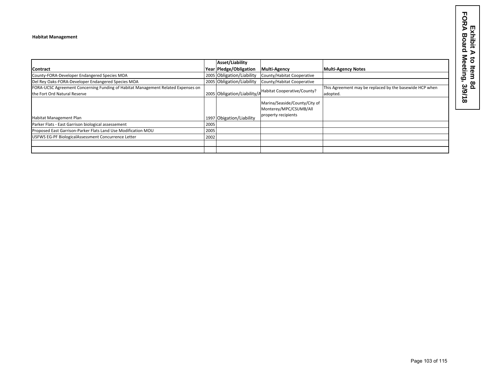#### **Habitat Management**

|                                                                                                                  |      | Asset/Liability             |                                                         |                                                                     |
|------------------------------------------------------------------------------------------------------------------|------|-----------------------------|---------------------------------------------------------|---------------------------------------------------------------------|
| <b>Contract</b>                                                                                                  |      | Year Pledge/Obligation      | <b>Multi-Agency</b>                                     | <b>Multi-Agency Notes</b>                                           |
| County-FORA-Developer Endangered Species MOA                                                                     |      | 2005 Obligation/Liability   | County/Habitat Cooperative                              |                                                                     |
| Del Rey Oaks-FORA-Developer Endangered Species MOA                                                               |      | 2005 Obligation/Liability   | County/Habitat Cooperative                              |                                                                     |
| FORA-UCSC Agreement Concerning Funding of Habitat Management Related Expenses on<br>the Fort Ord Natural Reserve |      | 2005 Obligation/Liability/A | Habitat Cooperative/County?                             | This Agreement may be replaced by the basewide HCP when<br>adopted. |
|                                                                                                                  |      |                             | Marina/Seaside/County/City of<br>Monterey/MPC/CSUMB/All |                                                                     |
| Habitat Management Plan                                                                                          |      | 1997 Obigation/Liability    | property recipients                                     |                                                                     |
| Parker Flats - East Garrison biological assessement                                                              | 2005 |                             |                                                         |                                                                     |
| Proposed East Garrison-Parker Flats Land Use Modification MOU                                                    | 2005 |                             |                                                         |                                                                     |
| USFWS EG-PF BiologicalAssessment Concurrence Letter                                                              | 2002 |                             |                                                         |                                                                     |
|                                                                                                                  |      |                             |                                                         |                                                                     |
|                                                                                                                  |      |                             |                                                         |                                                                     |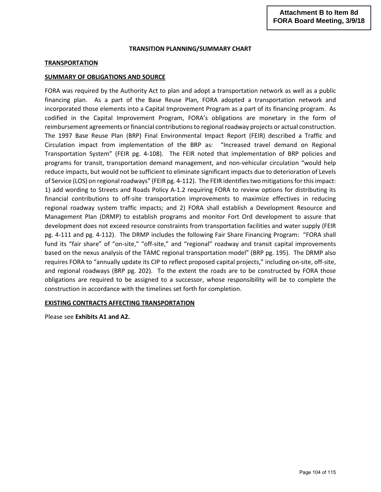## **TRANSITION PLANNING/SUMMARY CHART**

## **TRANSPORTATION**

## **SUMMARY OF OBLIGATIONS AND SOURCE**

FORA was required by the Authority Act to plan and adopt a transportation network as well as a public financing plan. As a part of the Base Reuse Plan, FORA adopted a transportation network and incorporated those elements into a Capital Improvement Program as a part of its financing program. As codified in the Capital Improvement Program, FORA's obligations are monetary in the form of reimbursement agreements or financial contributions to regional roadway projects or actual construction. The 1997 Base Reuse Plan (BRP) Final Environmental Impact Report (FEIR) described a Traffic and Circulation impact from implementation of the BRP as: "Increased travel demand on Regional Transportation System" (FEIR pg. 4-108). The FEIR noted that implementation of BRP policies and programs for transit, transportation demand management, and non-vehicular circulation "would help reduce impacts, but would not be sufficient to eliminate significant impacts due to deterioration of Levels of Service (LOS) on regional roadways" (FEIR pg. 4-112). The FEIR identifies two mitigations for this impact: 1) add wording to Streets and Roads Policy A-1.2 requiring FORA to review options for distributing its financial contributions to off-site transportation improvements to maximize effectives in reducing regional roadway system traffic impacts; and 2) FORA shall establish a Development Resource and Management Plan (DRMP) to establish programs and monitor Fort Ord development to assure that development does not exceed resource constraints from transportation facilities and water supply (FEIR pg. 4-111 and pg. 4-112). The DRMP includes the following Fair Share Financing Program: "FORA shall fund its "fair share" of "on-site," "off-site," and "regional" roadway and transit capital improvements based on the nexus analysis of the TAMC regional transportation model" (BRP pg. 195). The DRMP also requires FORA to "annually update its CIP to reflect proposed capital projects," including on-site, off-site, and regional roadways (BRP pg. 202). To the extent the roads are to be constructed by FORA those obligations are required to be assigned to a successor, whose responsibility will be to complete the construction in accordance with the timelines set forth for completion.

## **EXISTING CONTRACTS AFFECTING TRANSPORTATION**

Please see **Exhibits A1 and A2.**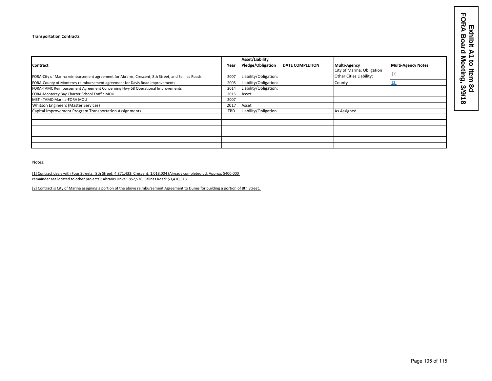#### **Transportation Contracts**

|                                                                                                 |            | Asset/Liability       |                        |                            |                           |
|-------------------------------------------------------------------------------------------------|------------|-----------------------|------------------------|----------------------------|---------------------------|
| <b>Contract</b>                                                                                 | Year       | Pledge/Obligation     | <b>DATE COMPLETION</b> | <b>Multi-Agency</b>        | <b>Multi-Agency Notes</b> |
|                                                                                                 |            |                       |                        | City of Marina: Obligation |                           |
| FORA-City of Marina reimbursement agreement for Abrams, Crescent, 8th Street, and Salinas Roads | 2007       | Liability/Obligation: |                        | Other Cities Liability:    |                           |
| FORA-County of Monterey reimbursement agreement for Davis Road Improvements                     | 2005       | Liability/Obligation: |                        | County                     | [3]                       |
| FORA-TAMC Reimbursement Agreement Concerning Hwy 68 Operational Improvements                    | 2014       | Liability/Obligation: |                        |                            |                           |
| FORA-Monterey Bay Charter School Traffic MOU                                                    | 2015       | Asset                 |                        |                            |                           |
| MST - TAMC-Marina-FORA MOU                                                                      | 2007       |                       |                        |                            |                           |
| <b>Whitson Engineers (Master Services)</b>                                                      | 2017       | Asset                 |                        |                            |                           |
| Capital Improvement Program Transportation Assignments                                          | <b>TBD</b> | Liability/Obligation  |                        | As Assigned.               |                           |
|                                                                                                 |            |                       |                        |                            |                           |
|                                                                                                 |            |                       |                        |                            |                           |
|                                                                                                 |            |                       |                        |                            |                           |
|                                                                                                 |            |                       |                        |                            |                           |
|                                                                                                 |            |                       |                        |                            |                           |
|                                                                                                 |            |                       |                        |                            |                           |

Notes:

[1] Contract deals with Four Streets: 8th Street: 4,871,433; Crescent: 1,018,004 (Already completed pd. Approx. \$400,000 remainder reallocated to other projects); Abrams Drive: 852,578; Salinas Road: \$3,410,313

[2] Contract is City of Marina assigning a portion of the above reimbursement Agreement to Dunes for building a portion of 8th Street.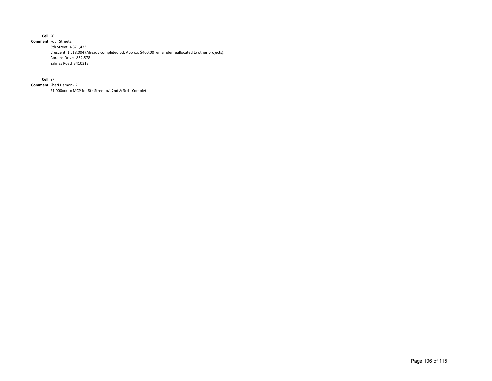#### **Cell:** S6

 **Comment:** Four Streets: 8th Street: 4,871,433 Crescent: 1,018,004 (Already completed pd. Approx. \$400,00 remainder reallocated to other projects). Abrams Drive: 852,578 Salinas Road: 3410313

#### **Cell:** S7

 **Comment:** Sheri Damon ‐ 2: \$1,000xxx to MCP for 8th Street b/t 2nd & 3rd ‐ Complete